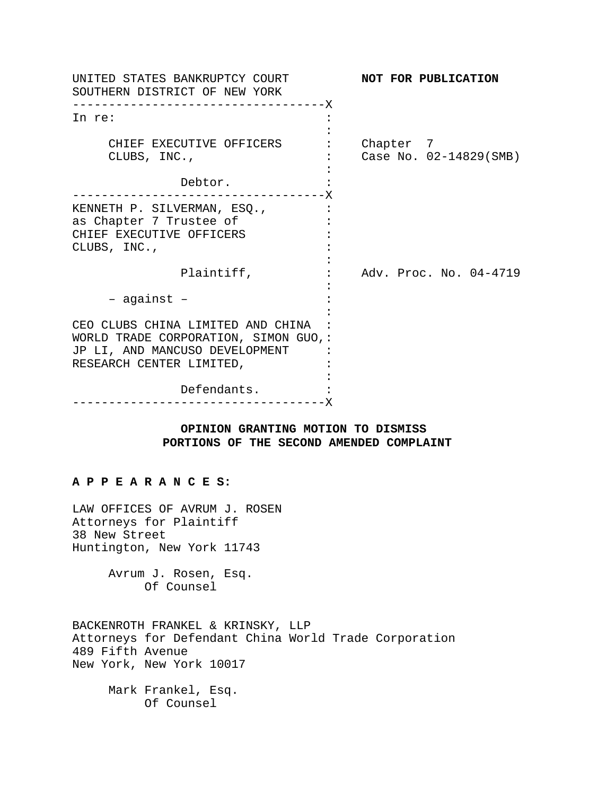| UNITED STATES BANKRUPTCY COURT<br>SOUTHERN DISTRICT OF NEW YORK                                                                                        | NOT FOR PUBLICATION                 |
|--------------------------------------------------------------------------------------------------------------------------------------------------------|-------------------------------------|
| ——————— <b>X</b><br>In re:                                                                                                                             |                                     |
| CHIEF EXECUTIVE OFFICERS<br>CLUBS, INC.,                                                                                                               | Chapter 7<br>Case No. 02-14829(SMB) |
| Debtor.                                                                                                                                                |                                     |
| KENNETH P. SILVERMAN, ESQ.,<br>as Chapter 7 Trustee of<br>CHIEF EXECUTIVE OFFICERS<br>CLUBS, INC.,                                                     |                                     |
| Plaintiff,                                                                                                                                             | Adv. Proc. No. 04-4719              |
| - against -                                                                                                                                            |                                     |
| CEO CLUBS CHINA LIMITED AND CHINA<br>WORLD TRADE CORPORATION, SIMON GUO,:<br>JP LI, AND MANCUSO DEVELOPMENT<br>RESEARCH CENTER LIMITED,<br>Defendants. |                                     |
|                                                                                                                                                        |                                     |

## **OPINION GRANTING MOTION TO DISMISS PORTIONS OF THE SECOND AMENDED COMPLAINT**

### **A P P E A R A N C E S:**

LAW OFFICES OF AVRUM J. ROSEN Attorneys for Plaintiff 38 New Street Huntington, New York 11743

> Avrum J. Rosen, Esq. Of Counsel

BACKENROTH FRANKEL & KRINSKY, LLP Attorneys for Defendant China World Trade Corporation 489 Fifth Avenue New York, New York 10017

Mark Frankel, Esq. Of Counsel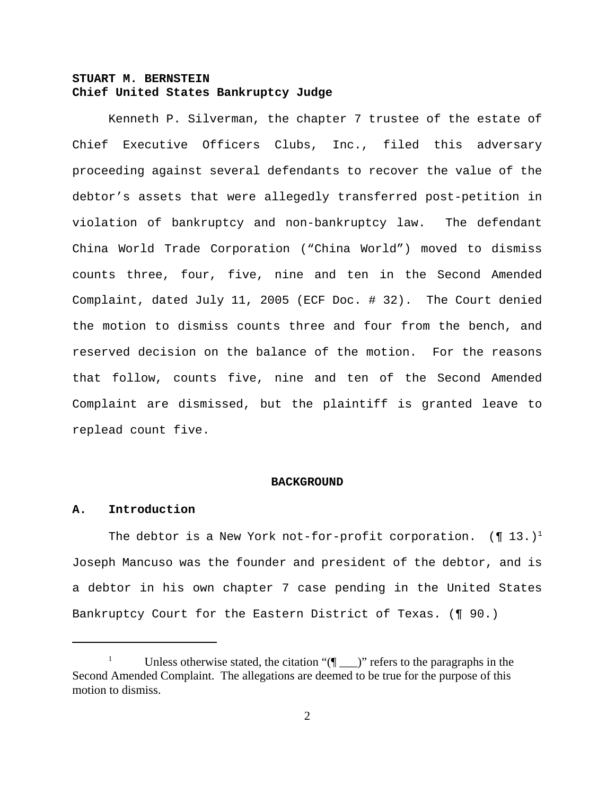# **STUART M. BERNSTEIN Chief United States Bankruptcy Judge**

Kenneth P. Silverman, the chapter 7 trustee of the estate of Chief Executive Officers Clubs, Inc., filed this adversary proceeding against several defendants to recover the value of the debtor's assets that were allegedly transferred post-petition in violation of bankruptcy and non-bankruptcy law. The defendant China World Trade Corporation ("China World") moved to dismiss counts three, four, five, nine and ten in the Second Amended Complaint, dated July 11, 2005 (ECF Doc. # 32). The Court denied the motion to dismiss counts three and four from the bench, and reserved decision on the balance of the motion. For the reasons that follow, counts five, nine and ten of the Second Amended Complaint are dismissed, but the plaintiff is granted leave to replead count five.

#### **BACKGROUND**

## **A. Introduction**

The debtor is a New York not-for-profit corporation.  $(\P 13.)^1$ Joseph Mancuso was the founder and president of the debtor, and is a debtor in his own chapter 7 case pending in the United States Bankruptcy Court for the Eastern District of Texas. (¶ 90.)

<sup>&</sup>lt;sup>1</sup> Unless otherwise stated, the citation " $(\P_$  )" refers to the paragraphs in the Second Amended Complaint. The allegations are deemed to be true for the purpose of this motion to dismiss.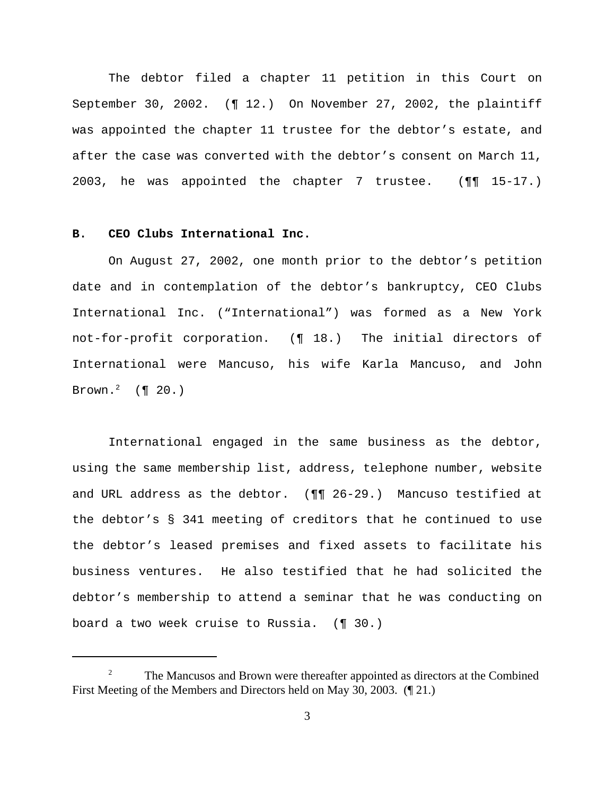The debtor filed a chapter 11 petition in this Court on September 30, 2002. (¶ 12.) On November 27, 2002, the plaintiff was appointed the chapter 11 trustee for the debtor's estate, and after the case was converted with the debtor's consent on March 11, 2003, he was appointed the chapter 7 trustee. (¶¶ 15-17.)

## **B. CEO Clubs International Inc.**

On August 27, 2002, one month prior to the debtor's petition date and in contemplation of the debtor's bankruptcy, CEO Clubs International Inc. ("International") was formed as a New York not-for-profit corporation. (¶ 18.) The initial directors of International were Mancuso, his wife Karla Mancuso, and John Brown. $^2$  (¶ 20.)

International engaged in the same business as the debtor, using the same membership list, address, telephone number, website and URL address as the debtor. (¶¶ 26-29.) Mancuso testified at the debtor's § 341 meeting of creditors that he continued to use the debtor's leased premises and fixed assets to facilitate his business ventures. He also testified that he had solicited the debtor's membership to attend a seminar that he was conducting on board a two week cruise to Russia. (¶ 30.)

<sup>&</sup>lt;sup>2</sup> The Mancusos and Brown were thereafter appointed as directors at the Combined First Meeting of the Members and Directors held on May 30, 2003. (¶ 21.)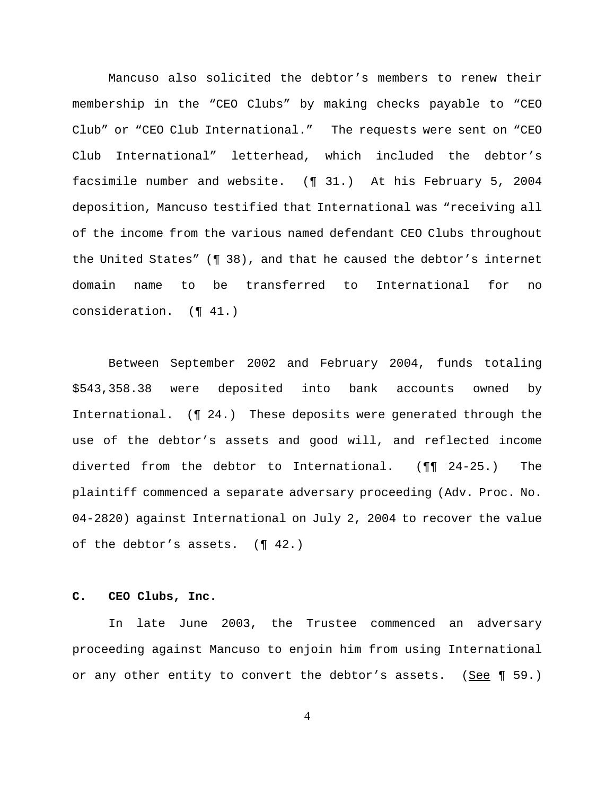Mancuso also solicited the debtor's members to renew their membership in the "CEO Clubs" by making checks payable to "CEO Club" or "CEO Club International." The requests were sent on "CEO Club International" letterhead, which included the debtor's facsimile number and website. (¶ 31.) At his February 5, 2004 deposition, Mancuso testified that International was "receiving all of the income from the various named defendant CEO Clubs throughout the United States" (¶ 38), and that he caused the debtor's internet domain name to be transferred to International for no consideration. (¶ 41.)

Between September 2002 and February 2004, funds totaling \$543,358.38 were deposited into bank accounts owned by International. (¶ 24.) These deposits were generated through the use of the debtor's assets and good will, and reflected income diverted from the debtor to International. (¶¶ 24-25.) The plaintiff commenced a separate adversary proceeding (Adv. Proc. No. 04-2820) against International on July 2, 2004 to recover the value of the debtor's assets. (¶ 42.)

### **C. CEO Clubs, Inc.**

In late June 2003, the Trustee commenced an adversary proceeding against Mancuso to enjoin him from using International or any other entity to convert the debtor's assets. (See  $\P$  59.)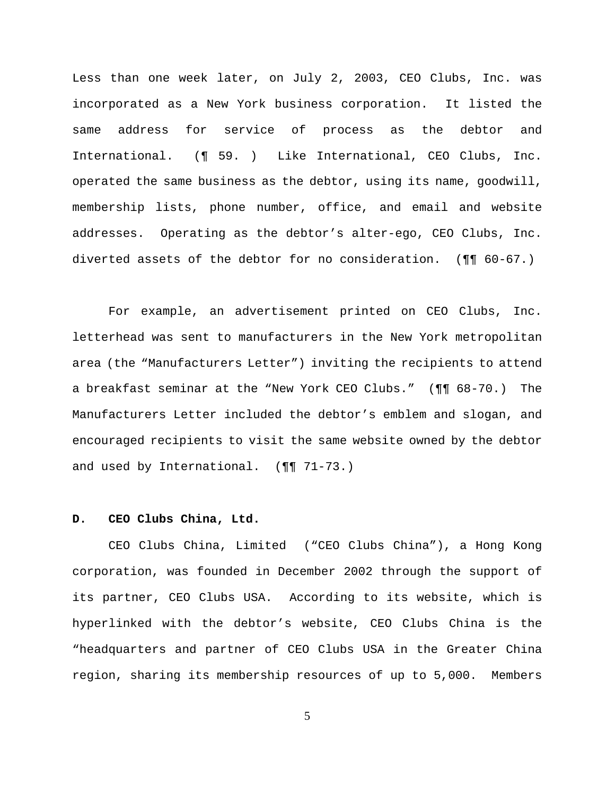Less than one week later, on July 2, 2003, CEO Clubs, Inc. was incorporated as a New York business corporation. It listed the same address for service of process as the debtor and International. (¶ 59. ) Like International, CEO Clubs, Inc. operated the same business as the debtor, using its name, goodwill, membership lists, phone number, office, and email and website addresses. Operating as the debtor's alter-ego, CEO Clubs, Inc. diverted assets of the debtor for no consideration. (¶¶ 60-67.)

For example, an advertisement printed on CEO Clubs, Inc. letterhead was sent to manufacturers in the New York metropolitan area (the "Manufacturers Letter") inviting the recipients to attend a breakfast seminar at the "New York CEO Clubs." (¶¶ 68-70.) The Manufacturers Letter included the debtor's emblem and slogan, and encouraged recipients to visit the same website owned by the debtor and used by International. (¶¶ 71-73.)

### **D. CEO Clubs China, Ltd.**

CEO Clubs China, Limited ("CEO Clubs China"), a Hong Kong corporation, was founded in December 2002 through the support of its partner, CEO Clubs USA. According to its website, which is hyperlinked with the debtor's website, CEO Clubs China is the "headquarters and partner of CEO Clubs USA in the Greater China region, sharing its membership resources of up to 5,000. Members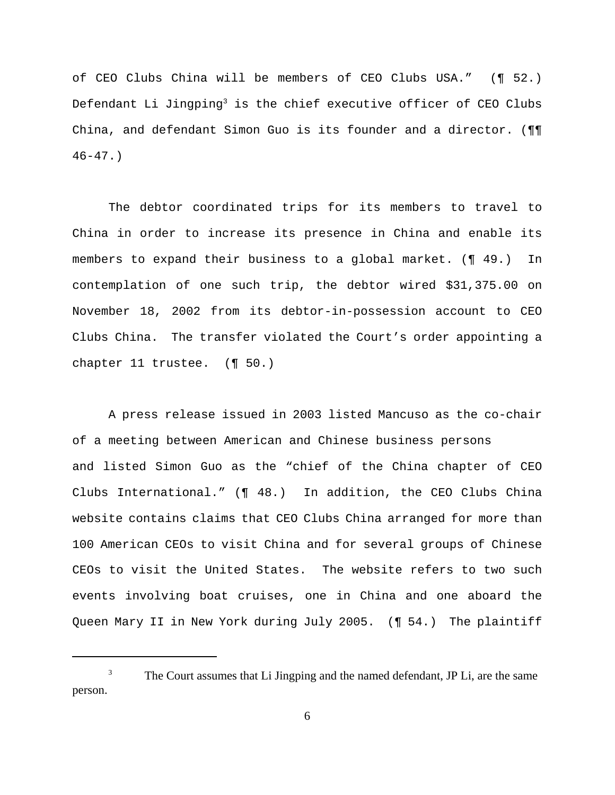of CEO Clubs China will be members of CEO Clubs USA." (¶ 52.) Defendant Li Jingping $^3$  is the chief executive officer of CEO Clubs China, and defendant Simon Guo is its founder and a director. (¶¶  $46-47.$ 

The debtor coordinated trips for its members to travel to China in order to increase its presence in China and enable its members to expand their business to a global market. (¶ 49.) In contemplation of one such trip, the debtor wired \$31,375.00 on November 18, 2002 from its debtor-in-possession account to CEO Clubs China. The transfer violated the Court's order appointing a chapter 11 trustee. (¶ 50.)

A press release issued in 2003 listed Mancuso as the co-chair of a meeting between American and Chinese business persons and listed Simon Guo as the "chief of the China chapter of CEO Clubs International." (¶ 48.) In addition, the CEO Clubs China website contains claims that CEO Clubs China arranged for more than 100 American CEOs to visit China and for several groups of Chinese CEOs to visit the United States. The website refers to two such events involving boat cruises, one in China and one aboard the Queen Mary II in New York during July 2005. (¶ 54.) The plaintiff

<sup>&</sup>lt;sup>3</sup> The Court assumes that Li Jingping and the named defendant, JP Li, are the same person.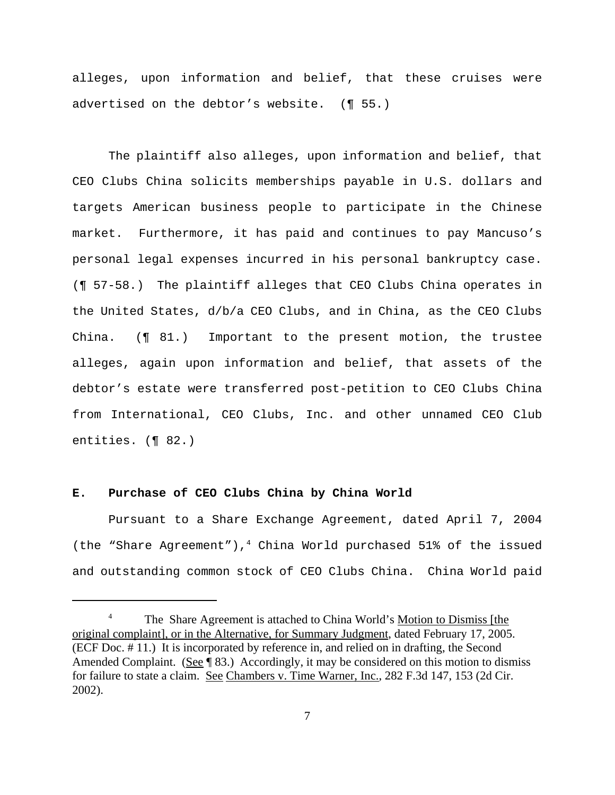alleges, upon information and belief, that these cruises were advertised on the debtor's website. (¶ 55.)

The plaintiff also alleges, upon information and belief, that CEO Clubs China solicits memberships payable in U.S. dollars and targets American business people to participate in the Chinese market. Furthermore, it has paid and continues to pay Mancuso's personal legal expenses incurred in his personal bankruptcy case. (¶ 57-58.) The plaintiff alleges that CEO Clubs China operates in the United States, d/b/a CEO Clubs, and in China, as the CEO Clubs China. (¶ 81.) Important to the present motion, the trustee alleges, again upon information and belief, that assets of the debtor's estate were transferred post-petition to CEO Clubs China from International, CEO Clubs, Inc. and other unnamed CEO Club entities. (¶ 82.)

#### **E. Purchase of CEO Clubs China by China World**

Pursuant to a Share Exchange Agreement, dated April 7, 2004 (the "Share Agreement"),<sup>4</sup> China World purchased 51% of the issued and outstanding common stock of CEO Clubs China. China World paid

<sup>4</sup> The Share Agreement is attached to China World's Motion to Dismiss [the original complaint], or in the Alternative, for Summary Judgment, dated February 17, 2005. (ECF Doc. # 11.) It is incorporated by reference in, and relied on in drafting, the Second Amended Complaint. (See ¶ 83.) Accordingly, it may be considered on this motion to dismiss for failure to state a claim. See Chambers v. Time Warner, Inc., 282 F.3d 147, 153 (2d Cir. 2002).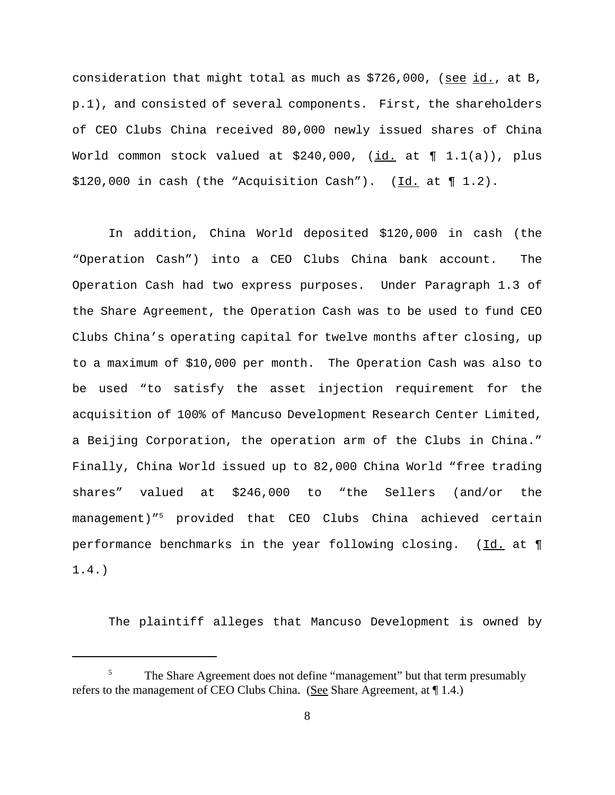consideration that might total as much as \$726,000, (see id., at B, p.1), and consisted of several components. First, the shareholders of CEO Clubs China received 80,000 newly issued shares of China World common stock valued at  $$240,000$ , (id. at  $\P$  1.1(a)), plus \$120,000 in cash (the "Acquisition Cash"). (Id. at ¶ 1.2).

In addition, China World deposited \$120,000 in cash (the "Operation Cash") into a CEO Clubs China bank account. The Operation Cash had two express purposes. Under Paragraph 1.3 of the Share Agreement, the Operation Cash was to be used to fund CEO Clubs China's operating capital for twelve months after closing, up to a maximum of \$10,000 per month. The Operation Cash was also to be used "to satisfy the asset injection requirement for the acquisition of 100% of Mancuso Development Research Center Limited, a Beijing Corporation, the operation arm of the Clubs in China." Finally, China World issued up to 82,000 China World "free trading shares" valued at \$246,000 to "the Sellers (and/or the management)"5 provided that CEO Clubs China achieved certain performance benchmarks in the year following closing. (Id. at  $\P$ 1.4.)

The plaintiff alleges that Mancuso Development is owned by

<sup>5</sup> The Share Agreement does not define "management" but that term presumably refers to the management of CEO Clubs China. (See Share Agreement, at ¶ 1.4.)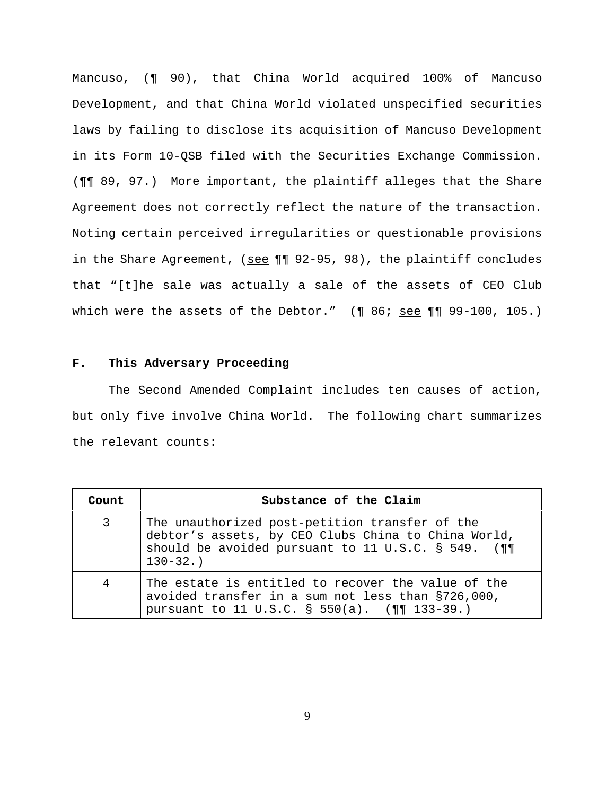Mancuso, (¶ 90), that China World acquired 100% of Mancuso Development, and that China World violated unspecified securities laws by failing to disclose its acquisition of Mancuso Development in its Form 10-QSB filed with the Securities Exchange Commission. (¶¶ 89, 97.) More important, the plaintiff alleges that the Share Agreement does not correctly reflect the nature of the transaction. Noting certain perceived irregularities or questionable provisions in the Share Agreement, (see  $\P\P$  92-95, 98), the plaintiff concludes that "[t]he sale was actually a sale of the assets of CEO Club which were the assets of the Debtor."  $($  ¶ 86; see ¶ ¶ 99-100, 105.)

## **F. This Adversary Proceeding**

The Second Amended Complaint includes ten causes of action, but only five involve China World. The following chart summarizes the relevant counts:

| Count | Substance of the Claim                                                                                                                                                     |
|-------|----------------------------------------------------------------------------------------------------------------------------------------------------------------------------|
| 3     | The unauthorized post-petition transfer of the<br>debtor's assets, by CEO Clubs China to China World,<br>should be avoided pursuant to 11 U.S.C. § 549. (¶1<br>$130 - 32.$ |
| 4     | The estate is entitled to recover the value of the<br>avoided transfer in a sum not less than §726,000,<br>pursuant to 11 U.S.C. § 550(a). (¶¶ 133-39.)                    |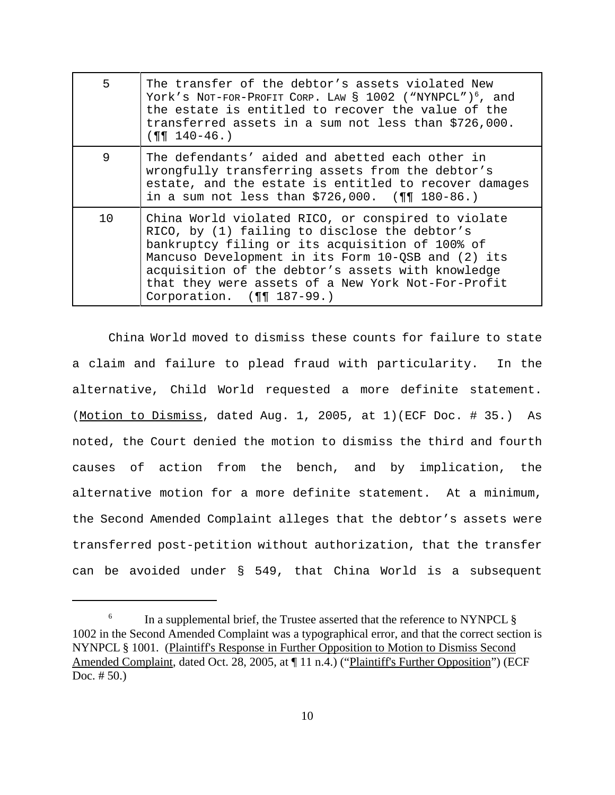| 5  | The transfer of the debtor's assets violated New<br>York's NOT-FOR-PROFIT CORP. LAW § 1002 ("NYNPCL") <sup>6</sup> , and<br>the estate is entitled to recover the value of the<br>transferred assets in a sum not less than \$726,000.<br>$(99 140 - 46)$                                                                                            |
|----|------------------------------------------------------------------------------------------------------------------------------------------------------------------------------------------------------------------------------------------------------------------------------------------------------------------------------------------------------|
| 9  | The defendants' aided and abetted each other in<br>wrongfully transferring assets from the debtor's<br>estate, and the estate is entitled to recover damages<br>in a sum not less than $$726,000.$ (¶¶ 180-86.)                                                                                                                                      |
| 10 | China World violated RICO, or conspired to violate<br>RICO, by (1) failing to disclose the debtor's<br>bankruptcy filing or its acquisition of 100% of<br>Mancuso Development in its Form 10-QSB and (2) its<br>acquisition of the debtor's assets with knowledge<br>that they were assets of a New York Not-For-Profit<br>Corporation. (11 187-99.) |

China World moved to dismiss these counts for failure to state a claim and failure to plead fraud with particularity. In the alternative, Child World requested a more definite statement. (Motion to Dismiss, dated Aug. 1, 2005, at 1)(ECF Doc. # 35.) As noted, the Court denied the motion to dismiss the third and fourth causes of action from the bench, and by implication, the alternative motion for a more definite statement. At a minimum, the Second Amended Complaint alleges that the debtor's assets were transferred post-petition without authorization, that the transfer can be avoided under § 549, that China World is a subsequent

<sup>&</sup>lt;sup>6</sup> In a supplemental brief, the Trustee asserted that the reference to NYNPCL  $\S$ 1002 in the Second Amended Complaint was a typographical error, and that the correct section is NYNPCL § 1001. (Plaintiff's Response in Further Opposition to Motion to Dismiss Second Amended Complaint, dated Oct. 28, 2005, at [11 n.4.) ("Plaintiff's Further Opposition") (ECF Doc. # 50.)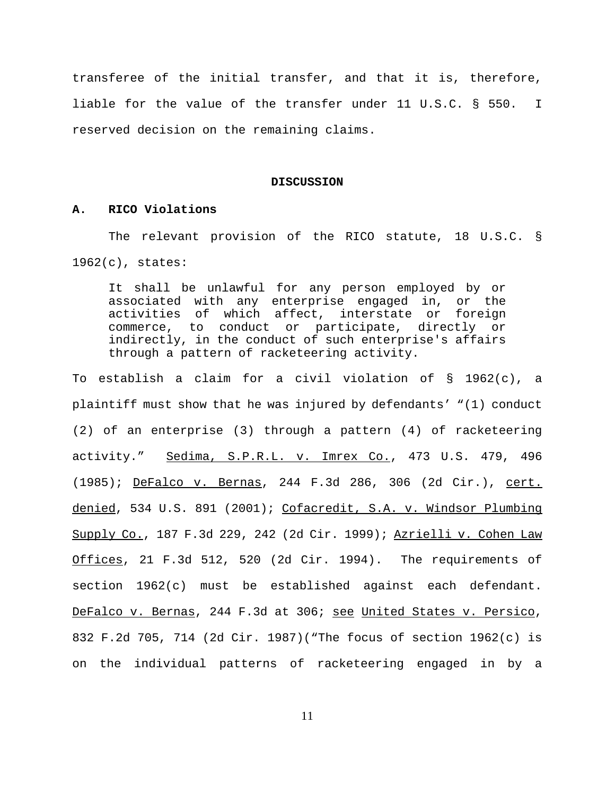transferee of the initial transfer, and that it is, therefore, liable for the value of the transfer under 11 U.S.C. § 550. I reserved decision on the remaining claims.

#### **DISCUSSION**

### **A. RICO Violations**

The relevant provision of the RICO statute, 18 U.S.C. § 1962(c), states:

It shall be unlawful for any person employed by or associated with any enterprise engaged in, or the activities of which affect, interstate or foreign commerce, to conduct or participate, directly or indirectly, in the conduct of such enterprise's affairs through a pattern of racketeering activity.

To establish a claim for a civil violation of § 1962(c), a plaintiff must show that he was injured by defendants' "(1) conduct (2) of an enterprise (3) through a pattern (4) of racketeering activity." Sedima, S.P.R.L. v. Imrex Co., 473 U.S. 479, 496 (1985); DeFalco v. Bernas, 244 F.3d 286, 306 (2d Cir.), cert. denied, 534 U.S. 891 (2001); Cofacredit, S.A. v. Windsor Plumbing Supply Co., 187 F.3d 229, 242 (2d Cir. 1999); Azrielli v. Cohen Law Offices, 21 F.3d 512, 520 (2d Cir. 1994). The requirements of section 1962(c) must be established against each defendant. DeFalco v. Bernas, 244 F.3d at 306; see United States v. Persico, 832 F.2d 705, 714 (2d Cir. 1987)("The focus of section 1962(c) is on the individual patterns of racketeering engaged in by a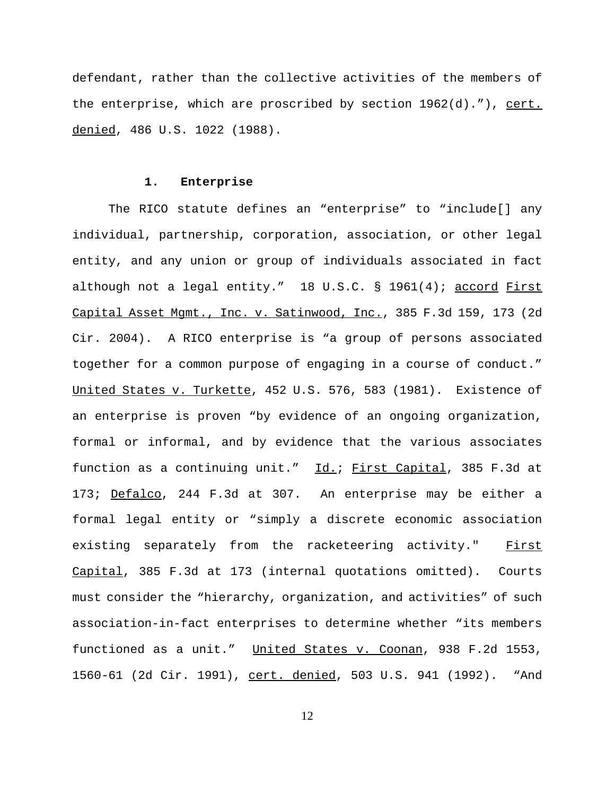defendant, rather than the collective activities of the members of the enterprise, which are proscribed by section  $1962(d)$ ."), cert. denied, 486 U.S. 1022 (1988).

#### **1. Enterprise**

The RICO statute defines an "enterprise" to "include[] any individual, partnership, corporation, association, or other legal entity, and any union or group of individuals associated in fact although not a legal entity." 18 U.S.C. § 1961(4); accord First Capital Asset Mgmt., Inc. v. Satinwood, Inc., 385 F.3d 159, 173 (2d Cir. 2004). A RICO enterprise is "a group of persons associated together for a common purpose of engaging in a course of conduct." United States v. Turkette, 452 U.S. 576, 583 (1981). Existence of an enterprise is proven "by evidence of an ongoing organization, formal or informal, and by evidence that the various associates function as a continuing unit." Id.; First Capital, 385 F.3d at 173; Defalco, 244 F.3d at 307. An enterprise may be either a formal legal entity or "simply a discrete economic association existing separately from the racketeering activity." First Capital, 385 F.3d at 173 (internal quotations omitted). Courts must consider the "hierarchy, organization, and activities" of such association-in-fact enterprises to determine whether "its members functioned as a unit." United States v. Coonan, 938 F.2d 1553, 1560-61 (2d Cir. 1991), cert. denied, 503 U.S. 941 (1992). "And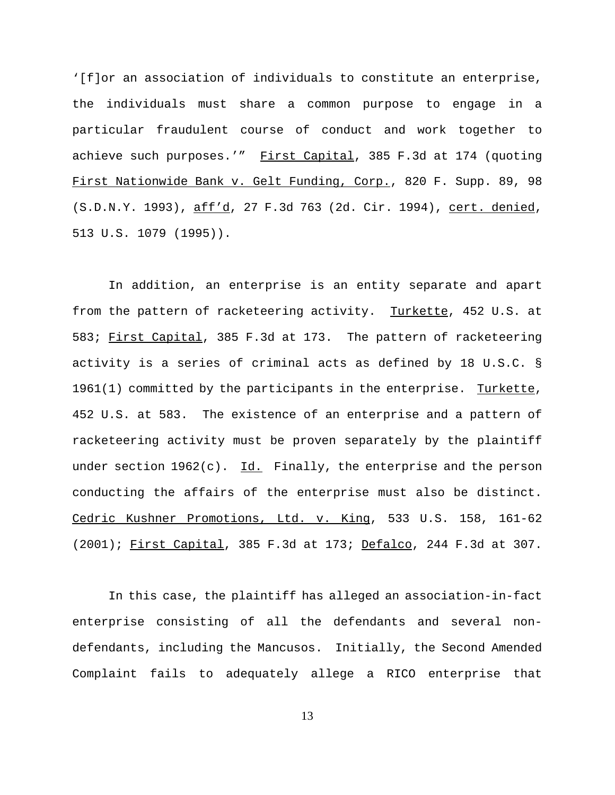'[f]or an association of individuals to constitute an enterprise, the individuals must share a common purpose to engage in a particular fraudulent course of conduct and work together to achieve such purposes.'" First Capital, 385 F.3d at 174 (quoting First Nationwide Bank v. Gelt Funding, Corp., 820 F. Supp. 89, 98 (S.D.N.Y. 1993), aff'd, 27 F.3d 763 (2d. Cir. 1994), cert. denied, 513 U.S. 1079 (1995)).

In addition, an enterprise is an entity separate and apart from the pattern of racketeering activity. Turkette, 452 U.S. at 583; First Capital, 385 F.3d at 173. The pattern of racketeering activity is a series of criminal acts as defined by 18 U.S.C. § 1961(1) committed by the participants in the enterprise. Turkette, 452 U.S. at 583. The existence of an enterprise and a pattern of racketeering activity must be proven separately by the plaintiff under section  $1962(c)$ . Id. Finally, the enterprise and the person conducting the affairs of the enterprise must also be distinct. Cedric Kushner Promotions, Ltd. v. King, 533 U.S. 158, 161-62 (2001); First Capital, 385 F.3d at 173; Defalco, 244 F.3d at 307.

In this case, the plaintiff has alleged an association-in-fact enterprise consisting of all the defendants and several nondefendants, including the Mancusos. Initially, the Second Amended Complaint fails to adequately allege a RICO enterprise that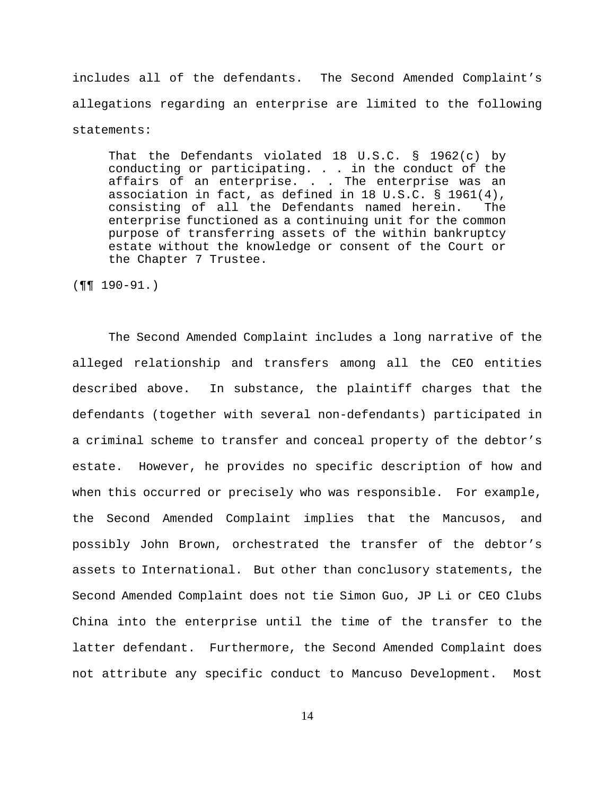includes all of the defendants. The Second Amended Complaint's allegations regarding an enterprise are limited to the following statements:

That the Defendants violated 18 U.S.C. § 1962(c) by conducting or participating. . . in the conduct of the affairs of an enterprise. . . The enterprise was an association in fact, as defined in 18 U.S.C. § 1961(4), consisting of all the Defendants named herein. The enterprise functioned as a continuing unit for the common purpose of transferring assets of the within bankruptcy estate without the knowledge or consent of the Court or the Chapter 7 Trustee.

(¶¶ 190-91.)

The Second Amended Complaint includes a long narrative of the alleged relationship and transfers among all the CEO entities described above. In substance, the plaintiff charges that the defendants (together with several non-defendants) participated in a criminal scheme to transfer and conceal property of the debtor's estate. However, he provides no specific description of how and when this occurred or precisely who was responsible. For example, the Second Amended Complaint implies that the Mancusos, and possibly John Brown, orchestrated the transfer of the debtor's assets to International. But other than conclusory statements, the Second Amended Complaint does not tie Simon Guo, JP Li or CEO Clubs China into the enterprise until the time of the transfer to the latter defendant. Furthermore, the Second Amended Complaint does not attribute any specific conduct to Mancuso Development. Most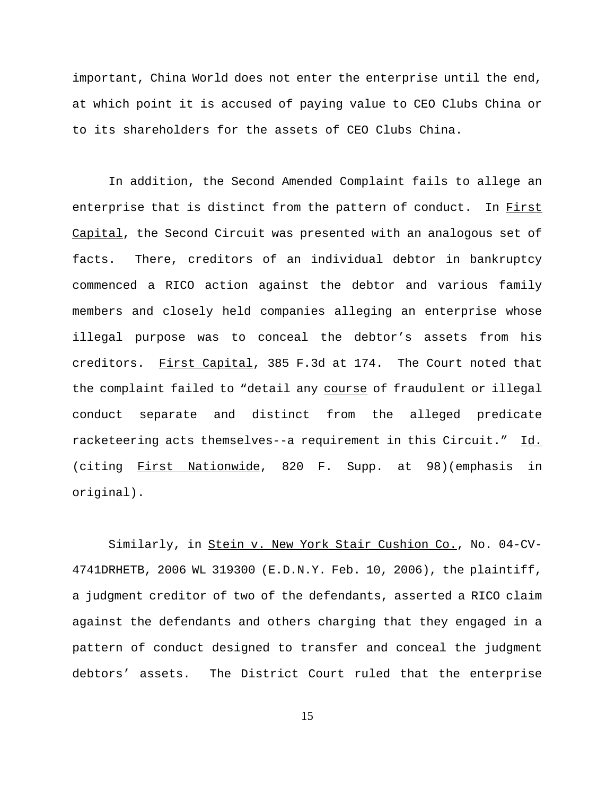important, China World does not enter the enterprise until the end, at which point it is accused of paying value to CEO Clubs China or to its shareholders for the assets of CEO Clubs China.

In addition, the Second Amended Complaint fails to allege an enterprise that is distinct from the pattern of conduct. In First Capital, the Second Circuit was presented with an analogous set of facts. There, creditors of an individual debtor in bankruptcy commenced a RICO action against the debtor and various family members and closely held companies alleging an enterprise whose illegal purpose was to conceal the debtor's assets from his creditors. First Capital, 385 F.3d at 174. The Court noted that the complaint failed to "detail any course of fraudulent or illegal conduct separate and distinct from the alleged predicate racketeering acts themselves--a requirement in this Circuit." Id. (citing First Nationwide, 820 F. Supp. at 98)(emphasis in original).

Similarly, in Stein v. New York Stair Cushion Co., No. 04-CV-4741DRHETB, 2006 WL 319300 (E.D.N.Y. Feb. 10, 2006), the plaintiff, a judgment creditor of two of the defendants, asserted a RICO claim against the defendants and others charging that they engaged in a pattern of conduct designed to transfer and conceal the judgment debtors' assets. The District Court ruled that the enterprise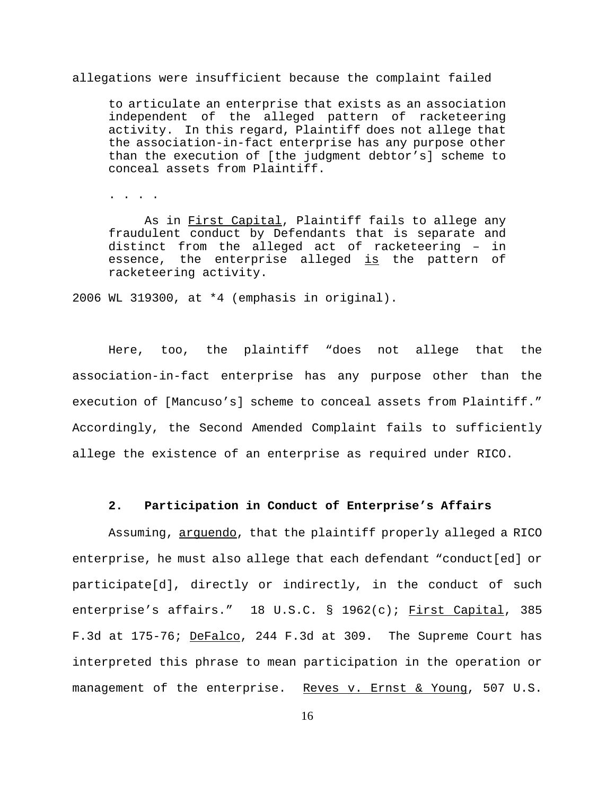allegations were insufficient because the complaint failed

to articulate an enterprise that exists as an association independent of the alleged pattern of racketeering activity. In this regard, Plaintiff does not allege that the association-in-fact enterprise has any purpose other than the execution of [the judgment debtor's] scheme to conceal assets from Plaintiff.

. . . .

As in First Capital, Plaintiff fails to allege any fraudulent conduct by Defendants that is separate and distinct from the alleged act of racketeering – in essence, the enterprise alleged is the pattern of racketeering activity.

2006 WL 319300, at \*4 (emphasis in original).

Here, too, the plaintiff "does not allege that the association-in-fact enterprise has any purpose other than the execution of [Mancuso's] scheme to conceal assets from Plaintiff." Accordingly, the Second Amended Complaint fails to sufficiently allege the existence of an enterprise as required under RICO.

## **2. Participation in Conduct of Enterprise's Affairs**

Assuming, arquendo, that the plaintiff properly alleged a RICO enterprise, he must also allege that each defendant "conduct[ed] or participate[d], directly or indirectly, in the conduct of such enterprise's affairs." 18 U.S.C. § 1962(c); First Capital, 385 F.3d at 175-76; DeFalco, 244 F.3d at 309. The Supreme Court has interpreted this phrase to mean participation in the operation or management of the enterprise. Reves v. Ernst & Young, 507 U.S.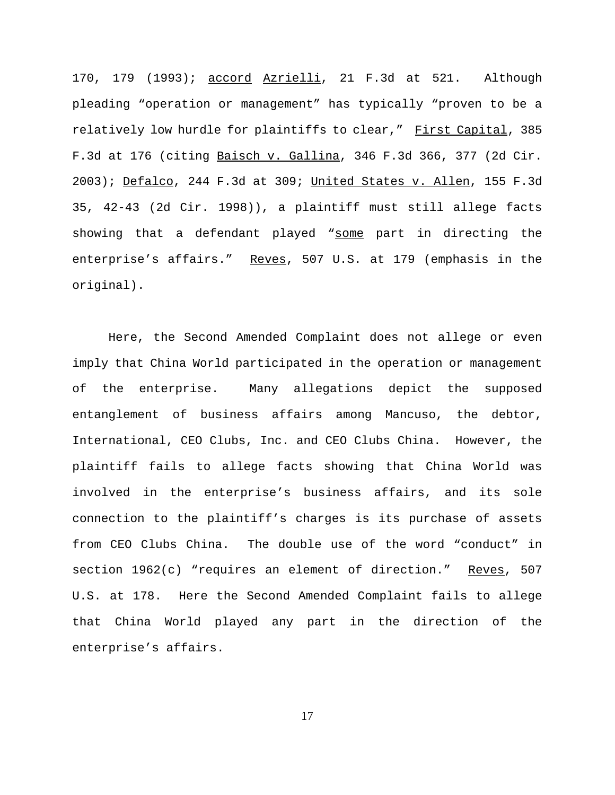170, 179 (1993); accord Azrielli, 21 F.3d at 521. Although pleading "operation or management" has typically "proven to be a relatively low hurdle for plaintiffs to clear," First Capital, 385 F.3d at 176 (citing Baisch v. Gallina, 346 F.3d 366, 377 (2d Cir. 2003); Defalco, 244 F.3d at 309; United States v. Allen, 155 F.3d 35, 42-43 (2d Cir. 1998)), a plaintiff must still allege facts showing that a defendant played "some part in directing the enterprise's affairs." Reves, 507 U.S. at 179 (emphasis in the original).

Here, the Second Amended Complaint does not allege or even imply that China World participated in the operation or management of the enterprise. Many allegations depict the supposed entanglement of business affairs among Mancuso, the debtor, International, CEO Clubs, Inc. and CEO Clubs China. However, the plaintiff fails to allege facts showing that China World was involved in the enterprise's business affairs, and its sole connection to the plaintiff's charges is its purchase of assets from CEO Clubs China. The double use of the word "conduct" in section 1962(c) "requires an element of direction." Reves, 507 U.S. at 178. Here the Second Amended Complaint fails to allege that China World played any part in the direction of the enterprise's affairs.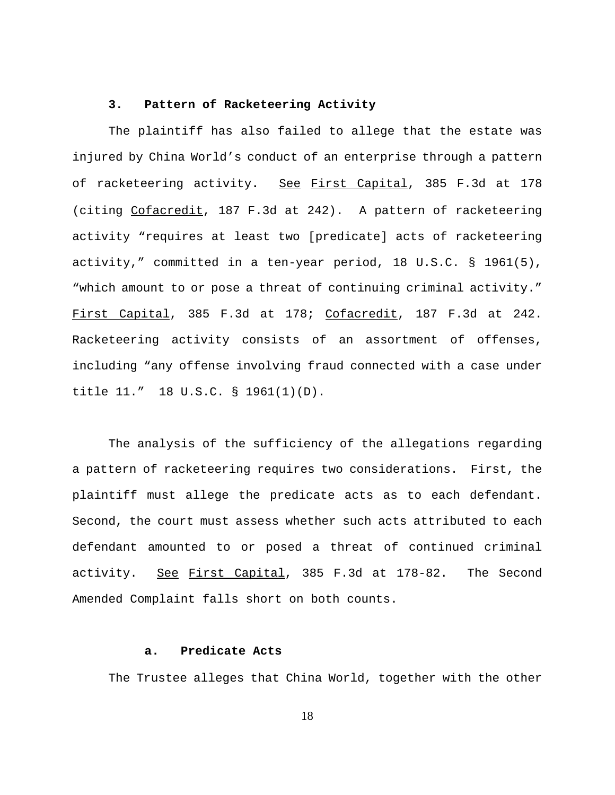## **3. Pattern of Racketeering Activity**

The plaintiff has also failed to allege that the estate was injured by China World's conduct of an enterprise through a pattern of racketeering activity**.** See First Capital, 385 F.3d at 178 (citing Cofacredit, 187 F.3d at 242). A pattern of racketeering activity "requires at least two [predicate] acts of racketeering activity," committed in a ten-year period, 18 U.S.C. § 1961(5), "which amount to or pose a threat of continuing criminal activity." First Capital, 385 F.3d at 178; Cofacredit, 187 F.3d at 242. Racketeering activity consists of an assortment of offenses, including "any offense involving fraud connected with a case under title 11." 18 U.S.C. § 1961(1)(D).

The analysis of the sufficiency of the allegations regarding a pattern of racketeering requires two considerations. First, the plaintiff must allege the predicate acts as to each defendant. Second, the court must assess whether such acts attributed to each defendant amounted to or posed a threat of continued criminal activity. See First Capital, 385 F.3d at 178-82. The Second Amended Complaint falls short on both counts.

### **a. Predicate Acts**

The Trustee alleges that China World, together with the other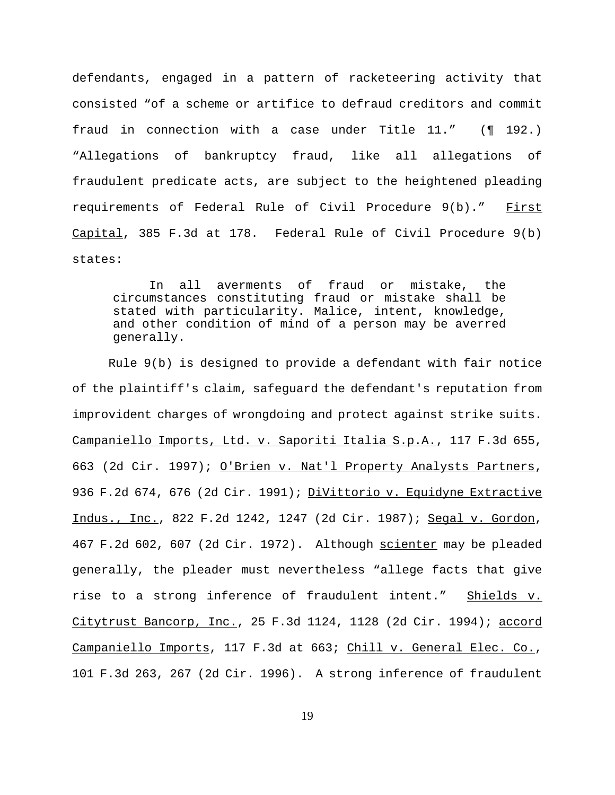defendants, engaged in a pattern of racketeering activity that consisted "of a scheme or artifice to defraud creditors and commit fraud in connection with a case under Title 11." (¶ 192.) "Allegations of bankruptcy fraud, like all allegations of fraudulent predicate acts, are subject to the heightened pleading requirements of Federal Rule of Civil Procedure 9(b)." First Capital, 385 F.3d at 178. Federal Rule of Civil Procedure 9(b) states:

In all averments of fraud or mistake, the circumstances constituting fraud or mistake shall be stated with particularity. Malice, intent, knowledge, and other condition of mind of a person may be averred generally.

Rule 9(b) is designed to provide a defendant with fair notice of the plaintiff's claim, safeguard the defendant's reputation from improvident charges of wrongdoing and protect against strike suits. Campaniello Imports, Ltd. v. Saporiti Italia S.p.A., 117 F.3d 655, 663 (2d Cir. 1997); O'Brien v. Nat'l Property Analysts Partners, 936 F.2d 674, 676 (2d Cir. 1991); DiVittorio v. Equidyne Extractive Indus., Inc., 822 F.2d 1242, 1247 (2d Cir. 1987); Segal v. Gordon, 467 F.2d 602, 607 (2d Cir. 1972). Although scienter may be pleaded generally, the pleader must nevertheless "allege facts that give rise to a strong inference of fraudulent intent." Shields v. Citytrust Bancorp, Inc., 25 F.3d 1124, 1128 (2d Cir. 1994); accord Campaniello Imports, 117 F.3d at 663; Chill v. General Elec. Co., 101 F.3d 263, 267 (2d Cir. 1996). A strong inference of fraudulent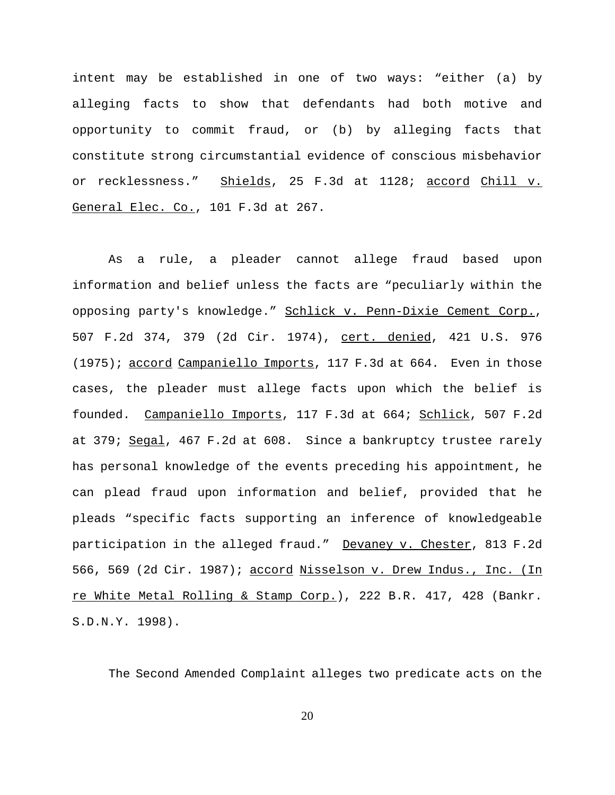intent may be established in one of two ways: "either (a) by alleging facts to show that defendants had both motive and opportunity to commit fraud, or (b) by alleging facts that constitute strong circumstantial evidence of conscious misbehavior or recklessness." Shields, 25 F.3d at 1128; accord Chill v. General Elec. Co., 101 F.3d at 267.

As a rule, a pleader cannot allege fraud based upon information and belief unless the facts are "peculiarly within the opposing party's knowledge." Schlick v. Penn-Dixie Cement Corp., 507 F.2d 374, 379 (2d Cir. 1974), cert. denied, 421 U.S. 976 (1975); accord Campaniello Imports, 117 F.3d at 664. Even in those cases, the pleader must allege facts upon which the belief is founded. Campaniello Imports, 117 F.3d at 664; Schlick, 507 F.2d at 379; Segal, 467 F.2d at 608. Since a bankruptcy trustee rarely has personal knowledge of the events preceding his appointment, he can plead fraud upon information and belief, provided that he pleads "specific facts supporting an inference of knowledgeable participation in the alleged fraud." Devaney v. Chester, 813 F.2d 566, 569 (2d Cir. 1987); accord Nisselson v. Drew Indus., Inc. (In re White Metal Rolling & Stamp Corp.), 222 B.R. 417, 428 (Bankr. S.D.N.Y. 1998).

The Second Amended Complaint alleges two predicate acts on the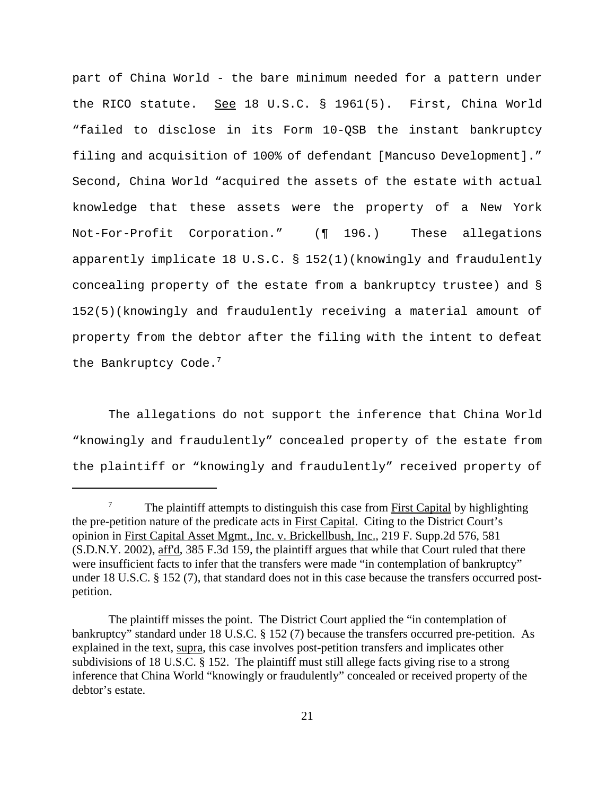part of China World - the bare minimum needed for a pattern under the RICO statute. See 18 U.S.C.  $\S$  1961(5). First, China World "failed to disclose in its Form 10-QSB the instant bankruptcy filing and acquisition of 100% of defendant [Mancuso Development]." Second, China World "acquired the assets of the estate with actual knowledge that these assets were the property of a New York Not-For-Profit Corporation." (¶ 196.) These allegations apparently implicate 18 U.S.C. § 152(1)(knowingly and fraudulently concealing property of the estate from a bankruptcy trustee) and § 152(5)(knowingly and fraudulently receiving a material amount of property from the debtor after the filing with the intent to defeat the Bankruptcy Code.<sup>7</sup>

The allegations do not support the inference that China World "knowingly and fraudulently" concealed property of the estate from the plaintiff or "knowingly and fraudulently" received property of

 $7\,$  The plaintiff attempts to distinguish this case from First Capital by highlighting the pre-petition nature of the predicate acts in First Capital. Citing to the District Court's opinion in First Capital Asset Mgmt., Inc. v. Brickellbush, Inc., 219 F. Supp.2d 576, 581 (S.D.N.Y. 2002), aff'd, 385 F.3d 159, the plaintiff argues that while that Court ruled that there were insufficient facts to infer that the transfers were made "in contemplation of bankruptcy" under 18 U.S.C. § 152 (7), that standard does not in this case because the transfers occurred postpetition.

The plaintiff misses the point. The District Court applied the "in contemplation of bankruptcy" standard under 18 U.S.C. § 152 (7) because the transfers occurred pre-petition. As explained in the text, supra, this case involves post-petition transfers and implicates other subdivisions of 18 U.S.C. § 152. The plaintiff must still allege facts giving rise to a strong inference that China World "knowingly or fraudulently" concealed or received property of the debtor's estate.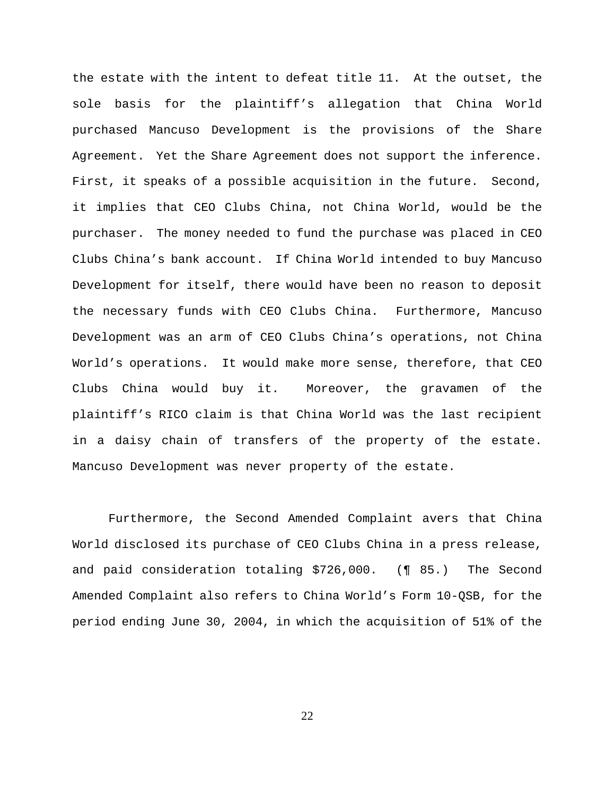the estate with the intent to defeat title 11. At the outset, the sole basis for the plaintiff's allegation that China World purchased Mancuso Development is the provisions of the Share Agreement. Yet the Share Agreement does not support the inference. First, it speaks of a possible acquisition in the future. Second, it implies that CEO Clubs China, not China World, would be the purchaser. The money needed to fund the purchase was placed in CEO Clubs China's bank account. If China World intended to buy Mancuso Development for itself, there would have been no reason to deposit the necessary funds with CEO Clubs China. Furthermore, Mancuso Development was an arm of CEO Clubs China's operations, not China World's operations. It would make more sense, therefore, that CEO Clubs China would buy it. Moreover, the gravamen of the plaintiff's RICO claim is that China World was the last recipient in a daisy chain of transfers of the property of the estate. Mancuso Development was never property of the estate.

Furthermore, the Second Amended Complaint avers that China World disclosed its purchase of CEO Clubs China in a press release, and paid consideration totaling \$726,000. (¶ 85.) The Second Amended Complaint also refers to China World's Form 10-QSB, for the period ending June 30, 2004, in which the acquisition of 51% of the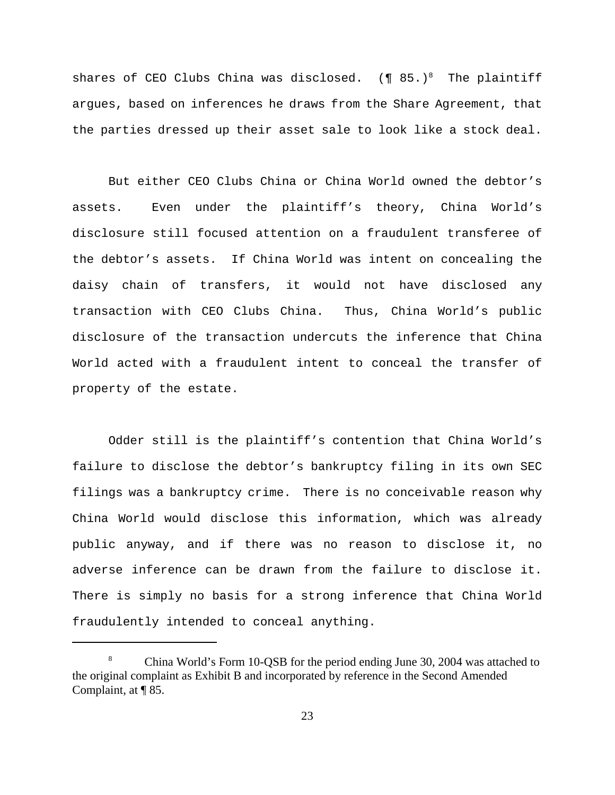shares of CEO Clubs China was disclosed.  $(\P 85.)^8$  The plaintiff argues, based on inferences he draws from the Share Agreement, that the parties dressed up their asset sale to look like a stock deal.

But either CEO Clubs China or China World owned the debtor's assets. Even under the plaintiff's theory, China World's disclosure still focused attention on a fraudulent transferee of the debtor's assets. If China World was intent on concealing the daisy chain of transfers, it would not have disclosed any transaction with CEO Clubs China. Thus, China World's public disclosure of the transaction undercuts the inference that China World acted with a fraudulent intent to conceal the transfer of property of the estate.

Odder still is the plaintiff's contention that China World's failure to disclose the debtor's bankruptcy filing in its own SEC filings was a bankruptcy crime. There is no conceivable reason why China World would disclose this information, which was already public anyway, and if there was no reason to disclose it, no adverse inference can be drawn from the failure to disclose it. There is simply no basis for a strong inference that China World fraudulently intended to conceal anything.

<sup>8</sup> China World's Form 10-QSB for the period ending June 30, 2004 was attached to the original complaint as Exhibit B and incorporated by reference in the Second Amended Complaint, at ¶ 85.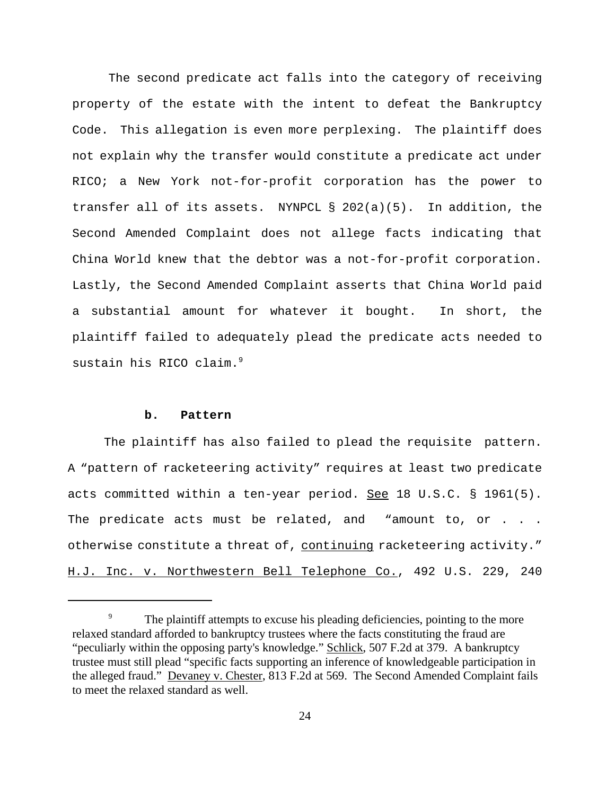The second predicate act falls into the category of receiving property of the estate with the intent to defeat the Bankruptcy Code. This allegation is even more perplexing. The plaintiff does not explain why the transfer would constitute a predicate act under RICO; a New York not-for-profit corporation has the power to transfer all of its assets. NYNPCL § 202(a)(5). In addition, the Second Amended Complaint does not allege facts indicating that China World knew that the debtor was a not-for-profit corporation. Lastly, the Second Amended Complaint asserts that China World paid a substantial amount for whatever it bought. In short, the plaintiff failed to adequately plead the predicate acts needed to sustain his RICO claim.<sup>9</sup>

#### **b. Pattern**

The plaintiff has also failed to plead the requisite pattern. A "pattern of racketeering activity" requires at least two predicate acts committed within a ten-year period. See 18 U.S.C. § 1961(5). The predicate acts must be related, and "amount to, or . . . otherwise constitute a threat of, continuing racketeering activity." H.J. Inc. v. Northwestern Bell Telephone Co., 492 U.S. 229, 240

<sup>&</sup>lt;sup>9</sup> The plaintiff attempts to excuse his pleading deficiencies, pointing to the more relaxed standard afforded to bankruptcy trustees where the facts constituting the fraud are "peculiarly within the opposing party's knowledge." Schlick, 507 F.2d at 379. A bankruptcy trustee must still plead "specific facts supporting an inference of knowledgeable participation in the alleged fraud." Devaney v. Chester, 813 F.2d at 569. The Second Amended Complaint fails to meet the relaxed standard as well.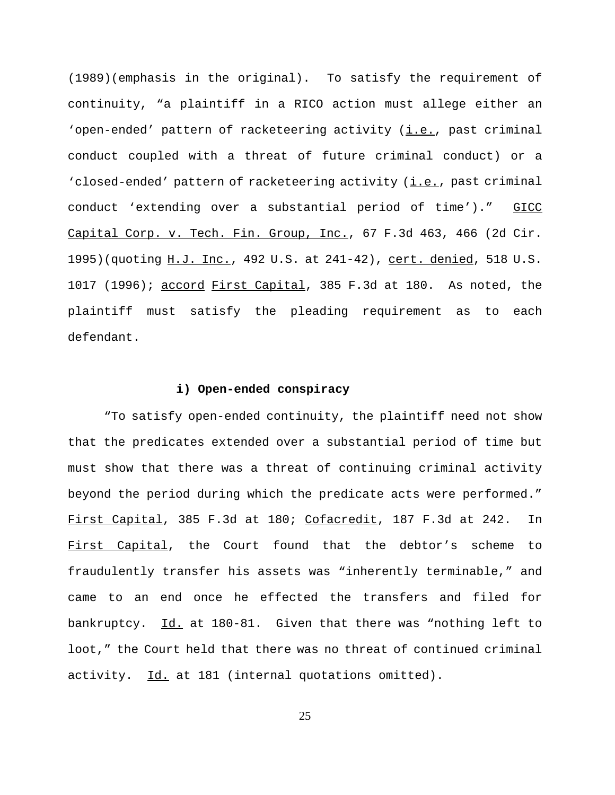(1989)(emphasis in the original). To satisfy the requirement of continuity, "a plaintiff in a RICO action must allege either an 'open-ended' pattern of racketeering activity (i.e., past criminal conduct coupled with a threat of future criminal conduct) or a 'closed-ended' pattern of racketeering activity (i.e., past criminal conduct 'extending over a substantial period of time')." GICC Capital Corp. v. Tech. Fin. Group, Inc., 67 F.3d 463, 466 (2d Cir. 1995)(quoting H.J. Inc., 492 U.S. at 241-42), cert. denied, 518 U.S. 1017 (1996); accord First Capital, 385 F.3d at 180. As noted, the plaintiff must satisfy the pleading requirement as to each defendant.

#### **i) Open-ended conspiracy**

"To satisfy open-ended continuity, the plaintiff need not show that the predicates extended over a substantial period of time but must show that there was a threat of continuing criminal activity beyond the period during which the predicate acts were performed." First Capital, 385 F.3d at 180; Cofacredit, 187 F.3d at 242. In First Capital, the Court found that the debtor's scheme to fraudulently transfer his assets was "inherently terminable," and came to an end once he effected the transfers and filed for bankruptcy. Id. at 180-81. Given that there was "nothing left to loot," the Court held that there was no threat of continued criminal activity. Id. at 181 (internal quotations omitted).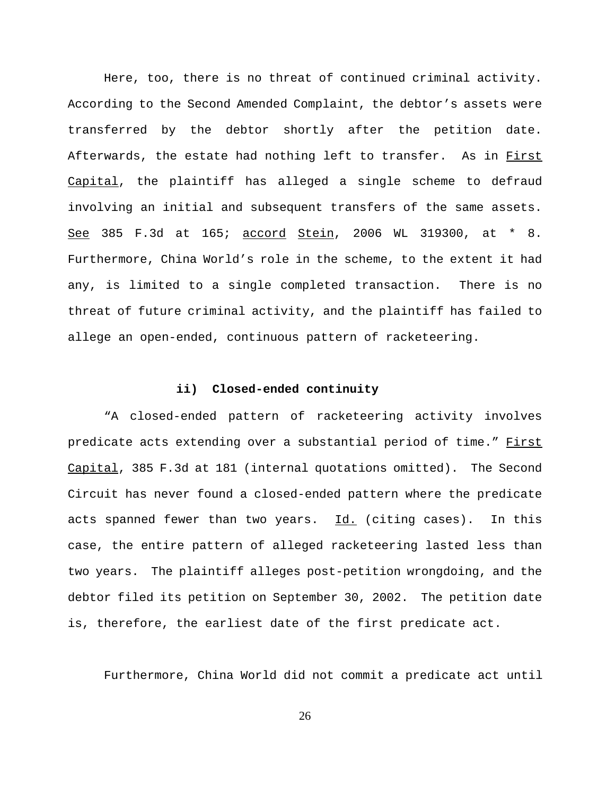Here, too, there is no threat of continued criminal activity. According to the Second Amended Complaint, the debtor's assets were transferred by the debtor shortly after the petition date. Afterwards, the estate had nothing left to transfer. As in First Capital, the plaintiff has alleged a single scheme to defraud involving an initial and subsequent transfers of the same assets. See 385 F.3d at 165; accord Stein, 2006 WL 319300, at \* 8. Furthermore, China World's role in the scheme, to the extent it had any, is limited to a single completed transaction. There is no threat of future criminal activity, and the plaintiff has failed to allege an open-ended, continuous pattern of racketeering.

#### **ii) Closed-ended continuity**

"A closed-ended pattern of racketeering activity involves predicate acts extending over a substantial period of time." First Capital, 385 F.3d at 181 (internal quotations omitted). The Second Circuit has never found a closed-ended pattern where the predicate acts spanned fewer than two years. Id. (citing cases). In this case, the entire pattern of alleged racketeering lasted less than two years. The plaintiff alleges post-petition wrongdoing, and the debtor filed its petition on September 30, 2002. The petition date is, therefore, the earliest date of the first predicate act.

Furthermore, China World did not commit a predicate act until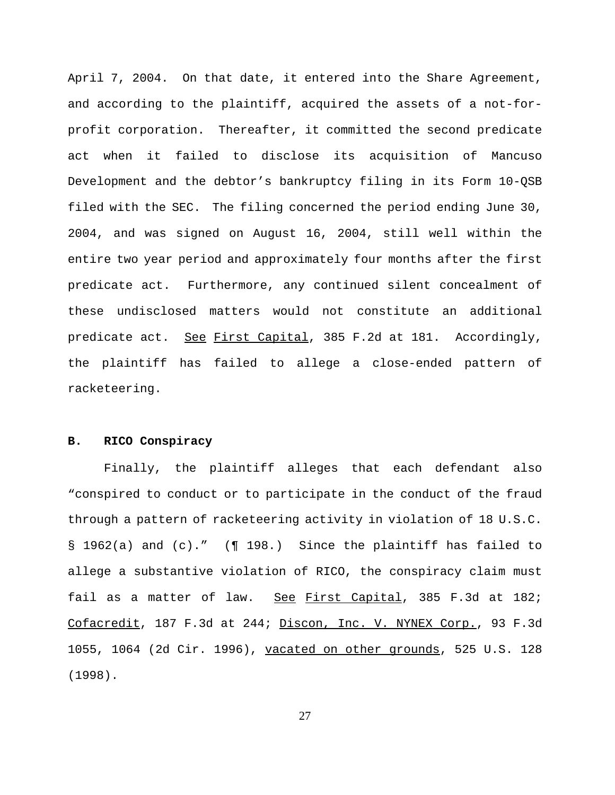April 7, 2004. On that date, it entered into the Share Agreement, and according to the plaintiff, acquired the assets of a not-forprofit corporation. Thereafter, it committed the second predicate act when it failed to disclose its acquisition of Mancuso Development and the debtor's bankruptcy filing in its Form 10-QSB filed with the SEC. The filing concerned the period ending June 30, 2004, and was signed on August 16, 2004, still well within the entire two year period and approximately four months after the first predicate act. Furthermore, any continued silent concealment of these undisclosed matters would not constitute an additional predicate act. See First Capital, 385 F.2d at 181. Accordingly, the plaintiff has failed to allege a close-ended pattern of racketeering.

## **B. RICO Conspiracy**

Finally, the plaintiff alleges that each defendant also "conspired to conduct or to participate in the conduct of the fraud through a pattern of racketeering activity in violation of 18 U.S.C. § 1962(a) and (c)." (¶ 198.) Since the plaintiff has failed to allege a substantive violation of RICO, the conspiracy claim must fail as a matter of law. See First Capital, 385 F.3d at 182; Cofacredit, 187 F.3d at 244; Discon, Inc. V. NYNEX Corp., 93 F.3d 1055, 1064 (2d Cir. 1996), vacated on other grounds, 525 U.S. 128 (1998).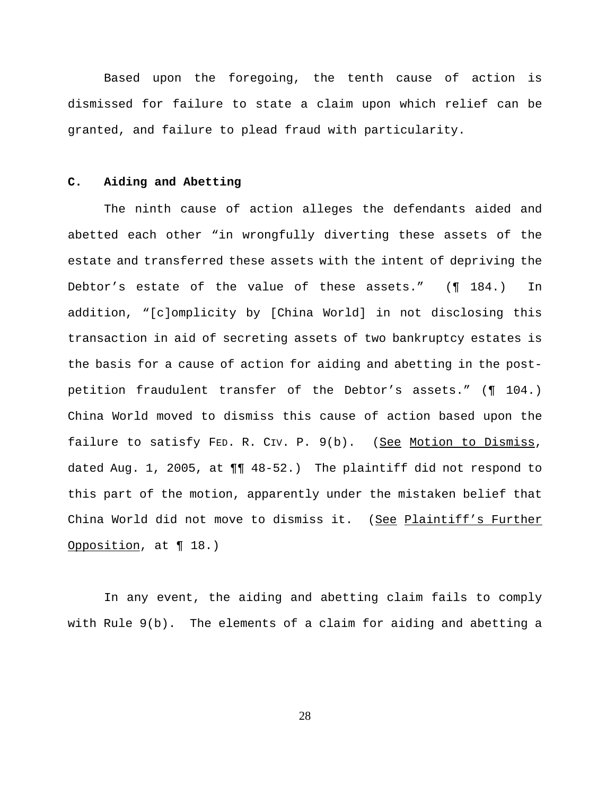Based upon the foregoing, the tenth cause of action is dismissed for failure to state a claim upon which relief can be granted, and failure to plead fraud with particularity.

### **C. Aiding and Abetting**

The ninth cause of action alleges the defendants aided and abetted each other "in wrongfully diverting these assets of the estate and transferred these assets with the intent of depriving the Debtor's estate of the value of these assets." (¶ 184.) In addition, "[c]omplicity by [China World] in not disclosing this transaction in aid of secreting assets of two bankruptcy estates is the basis for a cause of action for aiding and abetting in the postpetition fraudulent transfer of the Debtor's assets." (¶ 104.) China World moved to dismiss this cause of action based upon the failure to satisfy FED. R. CIV. P. 9(b). (See Motion to Dismiss, dated Aug. 1, 2005, at ¶¶ 48-52.) The plaintiff did not respond to this part of the motion, apparently under the mistaken belief that China World did not move to dismiss it. (See Plaintiff's Further Opposition, at ¶ 18.)

In any event, the aiding and abetting claim fails to comply with Rule 9(b). The elements of a claim for aiding and abetting a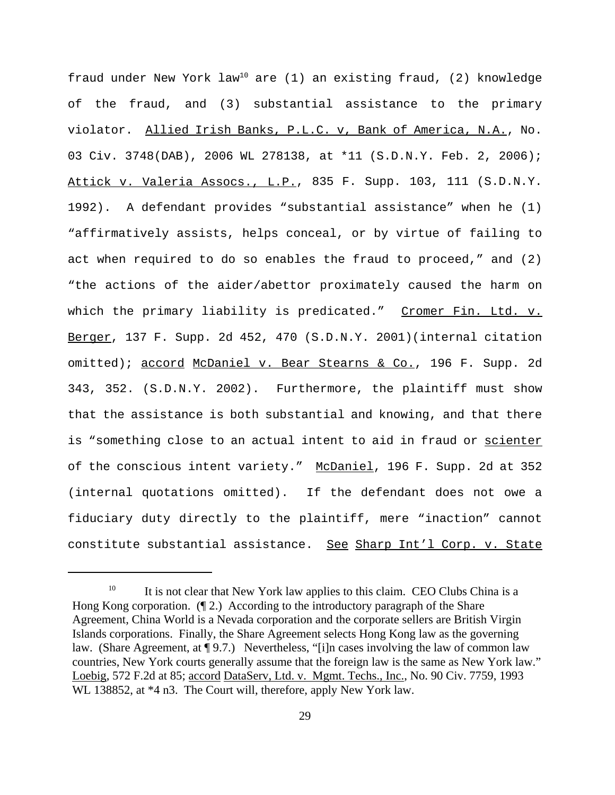fraud under New York  $law^{10}$  are (1) an existing fraud, (2) knowledge of the fraud, and (3) substantial assistance to the primary violator. Allied Irish Banks, P.L.C. v, Bank of America, N.A., No. 03 Civ. 3748(DAB), 2006 WL 278138, at \*11 (S.D.N.Y. Feb. 2, 2006); Attick v. Valeria Assocs., L.P., 835 F. Supp. 103, 111 (S.D.N.Y. 1992). A defendant provides "substantial assistance" when he (1) "affirmatively assists, helps conceal, or by virtue of failing to act when required to do so enables the fraud to proceed," and (2) "the actions of the aider/abettor proximately caused the harm on which the primary liability is predicated." Cromer Fin. Ltd. v. Berger, 137 F. Supp. 2d 452, 470 (S.D.N.Y. 2001)(internal citation omitted); accord McDaniel v. Bear Stearns & Co., 196 F. Supp. 2d 343, 352. (S.D.N.Y. 2002). Furthermore, the plaintiff must show that the assistance is both substantial and knowing, and that there is "something close to an actual intent to aid in fraud or scienter of the conscious intent variety." McDaniel, 196 F. Supp. 2d at 352 (internal quotations omitted). If the defendant does not owe a fiduciary duty directly to the plaintiff, mere "inaction" cannot constitute substantial assistance. See Sharp Int'l Corp. v. State

<sup>&</sup>lt;sup>10</sup> It is not clear that New York law applies to this claim. CEO Clubs China is a Hong Kong corporation. (¶ 2.) According to the introductory paragraph of the Share Agreement, China World is a Nevada corporation and the corporate sellers are British Virgin Islands corporations. Finally, the Share Agreement selects Hong Kong law as the governing law. (Share Agreement, at ¶ 9.7.) Nevertheless, "[i]n cases involving the law of common law countries, New York courts generally assume that the foreign law is the same as New York law." Loebig, 572 F.2d at 85; accord DataServ, Ltd. v. Mgmt. Techs., Inc., No. 90 Civ. 7759, 1993 WL 138852, at  $*4$  n3. The Court will, therefore, apply New York law.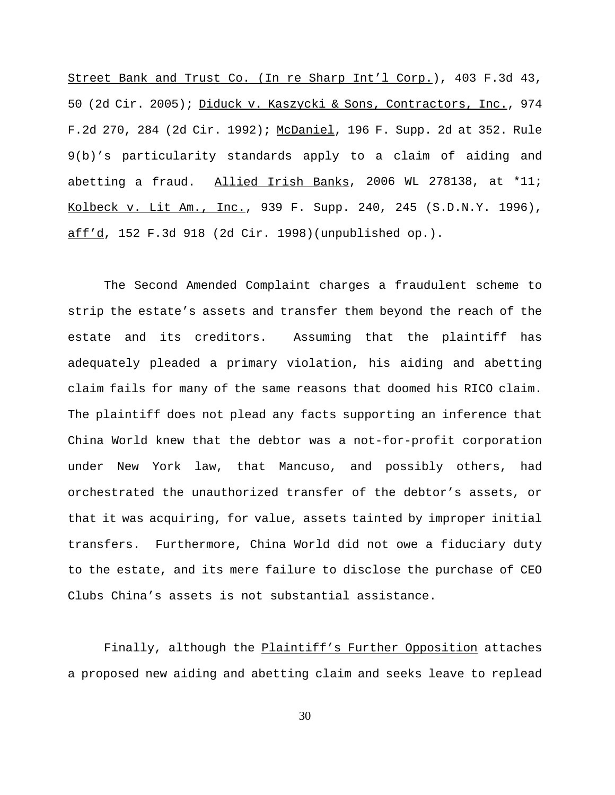Street Bank and Trust Co. (In re Sharp Int'l Corp.), 403 F.3d 43, 50 (2d Cir. 2005); Diduck v. Kaszycki & Sons, Contractors, Inc., 974 F.2d 270, 284 (2d Cir. 1992); McDaniel, 196 F. Supp. 2d at 352. Rule 9(b)'s particularity standards apply to a claim of aiding and abetting a fraud. Allied Irish Banks, 2006 WL 278138, at \*11; Kolbeck v. Lit Am., Inc., 939 F. Supp. 240, 245 (S.D.N.Y. 1996), aff'd, 152 F.3d 918 (2d Cir. 1998)(unpublished op.).

The Second Amended Complaint charges a fraudulent scheme to strip the estate's assets and transfer them beyond the reach of the estate and its creditors. Assuming that the plaintiff has adequately pleaded a primary violation, his aiding and abetting claim fails for many of the same reasons that doomed his RICO claim. The plaintiff does not plead any facts supporting an inference that China World knew that the debtor was a not-for-profit corporation under New York law, that Mancuso, and possibly others, had orchestrated the unauthorized transfer of the debtor's assets, or that it was acquiring, for value, assets tainted by improper initial transfers. Furthermore, China World did not owe a fiduciary duty to the estate, and its mere failure to disclose the purchase of CEO Clubs China's assets is not substantial assistance.

Finally, although the Plaintiff's Further Opposition attaches a proposed new aiding and abetting claim and seeks leave to replead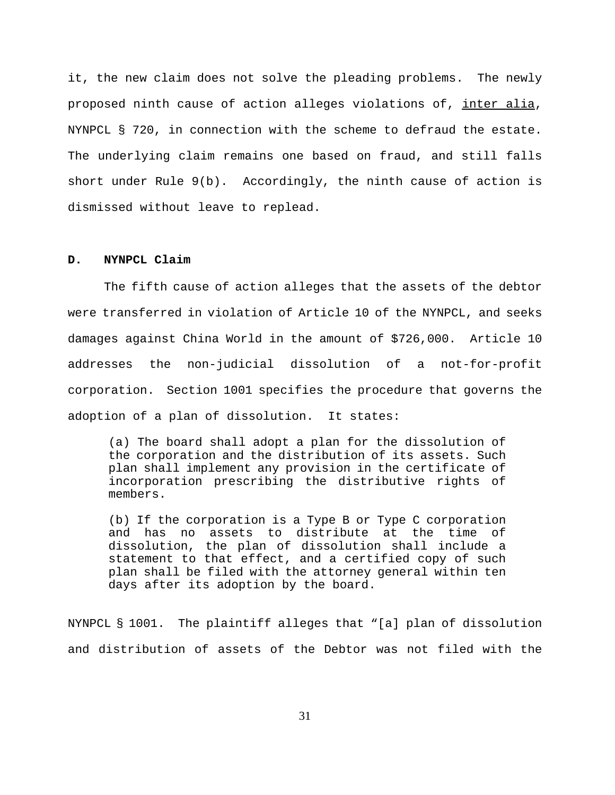it, the new claim does not solve the pleading problems. The newly proposed ninth cause of action alleges violations of, inter alia, NYNPCL § 720, in connection with the scheme to defraud the estate. The underlying claim remains one based on fraud, and still falls short under Rule 9(b). Accordingly, the ninth cause of action is dismissed without leave to replead.

#### **D. NYNPCL Claim**

The fifth cause of action alleges that the assets of the debtor were transferred in violation of Article 10 of the NYNPCL, and seeks damages against China World in the amount of \$726,000. Article 10 addresses the non-judicial dissolution of a not-for-profit corporation. Section 1001 specifies the procedure that governs the adoption of a plan of dissolution. It states:

(a) The board shall adopt a plan for the dissolution of the corporation and the distribution of its assets. Such plan shall implement any provision in the certificate of incorporation prescribing the distributive rights of members.

(b) If the corporation is a Type B or Type C corporation and has no assets to distribute at the time of dissolution, the plan of dissolution shall include a statement to that effect, and a certified copy of such plan shall be filed with the attorney general within ten days after its adoption by the board.

NYNPCL § 1001. The plaintiff alleges that "[a] plan of dissolution and distribution of assets of the Debtor was not filed with the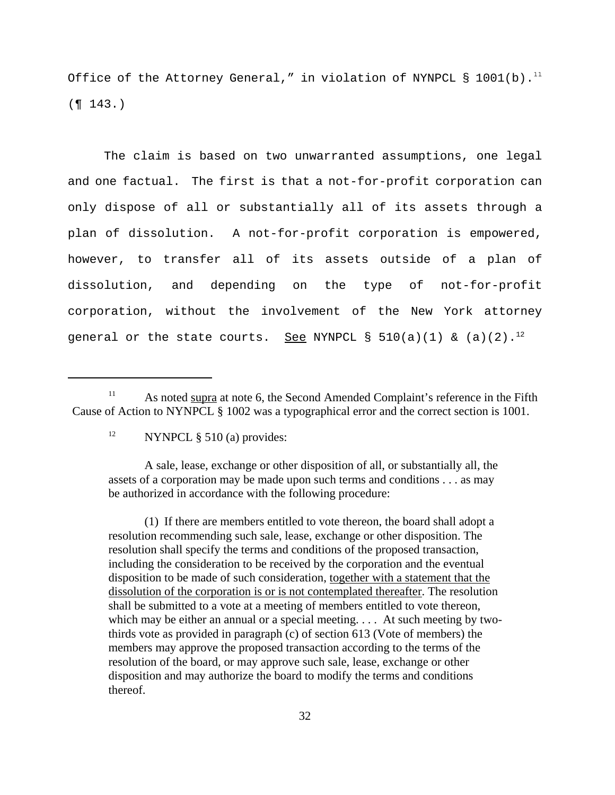Office of the Attorney General," in violation of NYNPCL  $\S$  1001(b).<sup>11</sup>  $($  ¶  $143.)$ 

The claim is based on two unwarranted assumptions, one legal and one factual. The first is that a not-for-profit corporation can only dispose of all or substantially all of its assets through a plan of dissolution. A not-for-profit corporation is empowered, however, to transfer all of its assets outside of a plan of dissolution, and depending on the type of not-for-profit corporation, without the involvement of the New York attorney general or the state courts. See NYNPCL §  $510(a)(1)$  & (a)(2).<sup>12</sup>

A sale, lease, exchange or other disposition of all, or substantially all, the assets of a corporation may be made upon such terms and conditions . . . as may be authorized in accordance with the following procedure:

(1) If there are members entitled to vote thereon, the board shall adopt a resolution recommending such sale, lease, exchange or other disposition. The resolution shall specify the terms and conditions of the proposed transaction, including the consideration to be received by the corporation and the eventual disposition to be made of such consideration, together with a statement that the dissolution of the corporation is or is not contemplated thereafter. The resolution shall be submitted to a vote at a meeting of members entitled to vote thereon, which may be either an annual or a special meeting. . . . At such meeting by twothirds vote as provided in paragraph (c) of section 613 (Vote of members) the members may approve the proposed transaction according to the terms of the resolution of the board, or may approve such sale, lease, exchange or other disposition and may authorize the board to modify the terms and conditions thereof.

<sup>&</sup>lt;sup>11</sup> As noted supra at note 6, the Second Amended Complaint's reference in the Fifth Cause of Action to NYNPCL § 1002 was a typographical error and the correct section is 1001.

 $12$  NYNPCL § 510 (a) provides: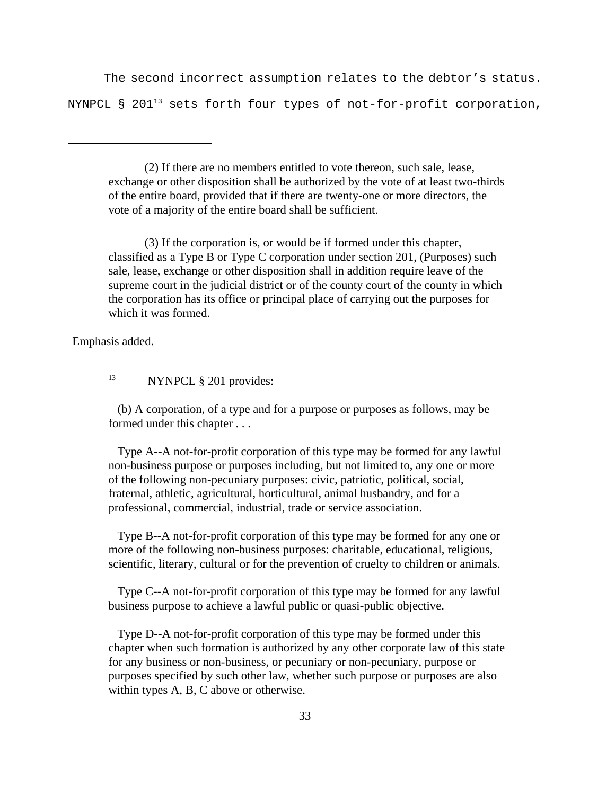The second incorrect assumption relates to the debtor's status. NYNPCL § 201<sup>13</sup> sets forth four types of not-for-profit corporation,

(2) If there are no members entitled to vote thereon, such sale, lease, exchange or other disposition shall be authorized by the vote of at least two-thirds of the entire board, provided that if there are twenty-one or more directors, the vote of a majority of the entire board shall be sufficient.

(3) If the corporation is, or would be if formed under this chapter, classified as a Type B or Type C corporation under section 201, (Purposes) such sale, lease, exchange or other disposition shall in addition require leave of the supreme court in the judicial district or of the county court of the county in which the corporation has its office or principal place of carrying out the purposes for which it was formed.

Emphasis added.

<sup>13</sup> NYNPCL § 201 provides:

 (b) A corporation, of a type and for a purpose or purposes as follows, may be formed under this chapter . . .

 Type A--A not-for-profit corporation of this type may be formed for any lawful non-business purpose or purposes including, but not limited to, any one or more of the following non-pecuniary purposes: civic, patriotic, political, social, fraternal, athletic, agricultural, horticultural, animal husbandry, and for a professional, commercial, industrial, trade or service association.

 Type B--A not-for-profit corporation of this type may be formed for any one or more of the following non-business purposes: charitable, educational, religious, scientific, literary, cultural or for the prevention of cruelty to children or animals.

 Type C--A not-for-profit corporation of this type may be formed for any lawful business purpose to achieve a lawful public or quasi-public objective.

 Type D--A not-for-profit corporation of this type may be formed under this chapter when such formation is authorized by any other corporate law of this state for any business or non-business, or pecuniary or non-pecuniary, purpose or purposes specified by such other law, whether such purpose or purposes are also within types A, B, C above or otherwise.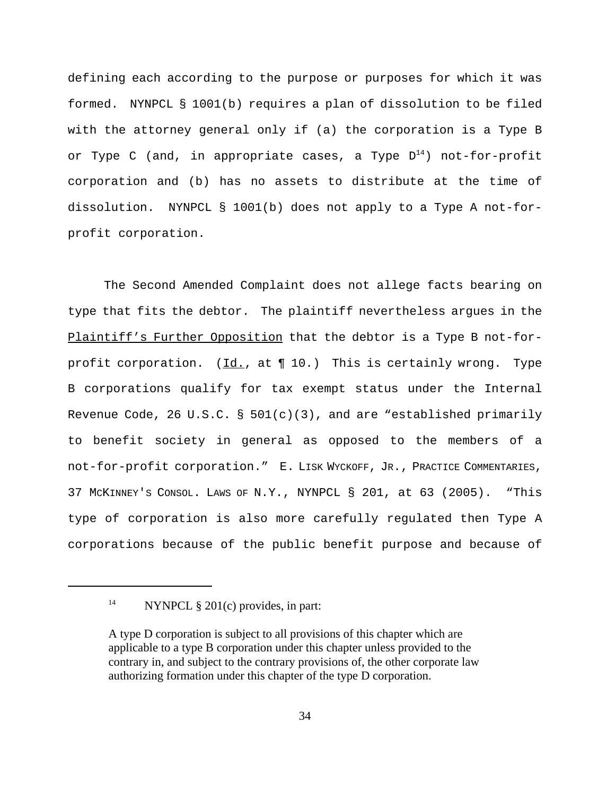defining each according to the purpose or purposes for which it was formed. NYNPCL § 1001(b) requires a plan of dissolution to be filed with the attorney general only if (a) the corporation is a Type B or Type C (and, in appropriate cases, a Type  $D^{14}$ ) not-for-profit corporation and (b) has no assets to distribute at the time of dissolution. NYNPCL § 1001(b) does not apply to a Type A not-forprofit corporation.

The Second Amended Complaint does not allege facts bearing on type that fits the debtor. The plaintiff nevertheless argues in the Plaintiff's Further Opposition that the debtor is a Type B not-forprofit corporation.  $(\underline{Id.}, \underline{at.} \P 10.)$  This is certainly wrong. Type B corporations qualify for tax exempt status under the Internal Revenue Code, 26 U.S.C. §  $501(c)(3)$ , and are "established primarily to benefit society in general as opposed to the members of a not-for-profit corporation." E. LISK WYCKOFF, JR., PRACTICE COMMENTARIES, 37 MCKINNEY'S CONSOL. LAWS OF N.Y., NYNPCL § 201, at 63 (2005). "This type of corporation is also more carefully regulated then Type A corporations because of the public benefit purpose and because of

<sup>&</sup>lt;sup>14</sup> NYNPCL  $\S 201(c)$  provides, in part:

A type D corporation is subject to all provisions of this chapter which are applicable to a type B corporation under this chapter unless provided to the contrary in, and subject to the contrary provisions of, the other corporate law authorizing formation under this chapter of the type D corporation.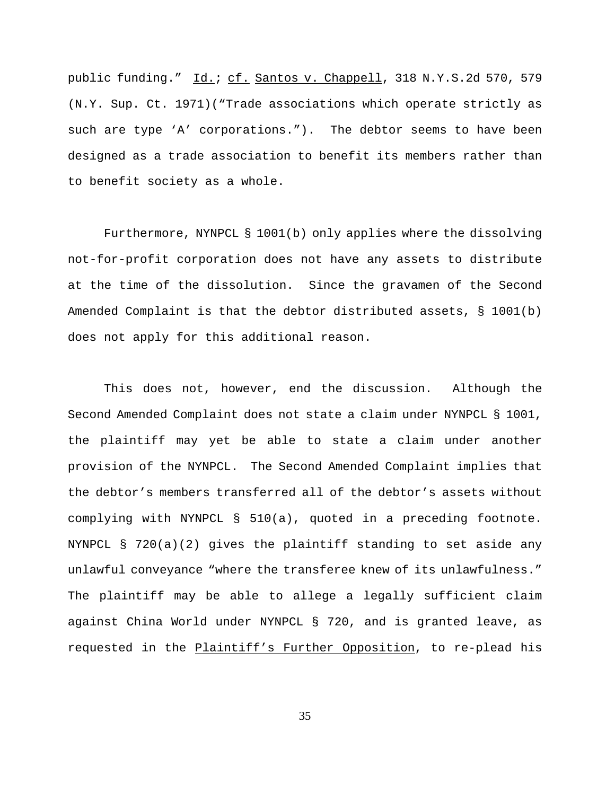public funding." Id.; cf. Santos v. Chappell, 318 N.Y.S.2d 570, 579 (N.Y. Sup. Ct. 1971)("Trade associations which operate strictly as such are type 'A' corporations."). The debtor seems to have been designed as a trade association to benefit its members rather than to benefit society as a whole.

Furthermore, NYNPCL § 1001(b) only applies where the dissolving not-for-profit corporation does not have any assets to distribute at the time of the dissolution. Since the gravamen of the Second Amended Complaint is that the debtor distributed assets, § 1001(b) does not apply for this additional reason.

This does not, however, end the discussion. Although the Second Amended Complaint does not state a claim under NYNPCL § 1001, the plaintiff may yet be able to state a claim under another provision of the NYNPCL. The Second Amended Complaint implies that the debtor's members transferred all of the debtor's assets without complying with NYNPCL § 510(a), quoted in a preceding footnote. NYNPCL § 720(a)(2) gives the plaintiff standing to set aside any unlawful conveyance "where the transferee knew of its unlawfulness." The plaintiff may be able to allege a legally sufficient claim against China World under NYNPCL § 720, and is granted leave, as requested in the Plaintiff's Further Opposition, to re-plead his